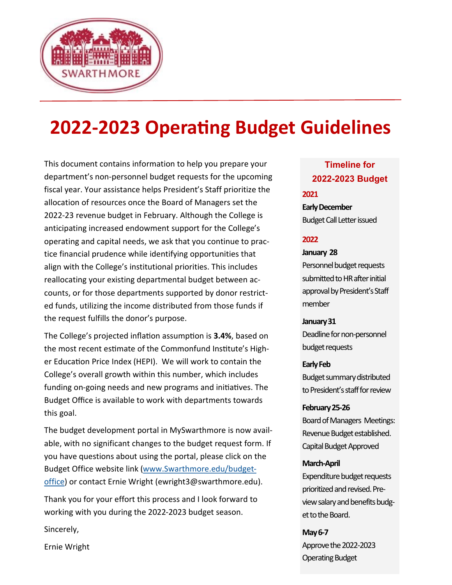

# **2022-2023 Operating Budget Guidelines**

This document contains information to help you prepare your department's non-personnel budget requests for the upcoming fiscal year. Your assistance helps President's Staff prioritize the allocation of resources once the Board of Managers set the 2022-23 revenue budget in February. Although the College is anticipating increased endowment support for the College's operating and capital needs, we ask that you continue to practice financial prudence while identifying opportunities that align with the College's institutional priorities. This includes reallocating your existing departmental budget between accounts, or for those departments supported by donor restricted funds, utilizing the income distributed from those funds if the request fulfills the donor's purpose.

The College's projected inflation assumption is **3.4%**, based on the most recent estimate of the Commonfund Institute's Higher Education Price Index (HEPI). We will work to contain the College's overall growth within this number, which includes funding on-going needs and new programs and initiatives. The Budget Office is available to work with departments towards this goal.

The budget development portal in MySwarthmore is now available, with no significant changes to the budget request form. If you have questions about using the portal, please click on the Budget Office website link ([www.Swarthmore.edu/budget](http://www.Swarthmore.edu/budget-office)[office\)](http://www.Swarthmore.edu/budget-office) or contact Ernie Wright (ewright3@swarthmore.edu).

Thank you for your effort this process and I look forward to working with you during the 2022-2023 budget season.

Sincerely,

Ernie Wright

# **Timeline for 2022-2023 Budget**

### **2021**

**Early December** Budget Call Letter issued

### **2022**

### **January 28**

Personnel budget requests submitted to HR after initial approval by President's Staff member

### **January 31**

Deadline for non-personnel budget requests

### **Early Feb**

Budget summary distributed to President's staff for review

**February 25-26** Board of Managers Meetings: Revenue Budget established. Capital Budget Approved

### **March-April**

Expenditure budget requests prioritized and revised. Preview salary and benefits budget to the Board.

### **May 6-7**

Approve the 2022-2023 Operating Budget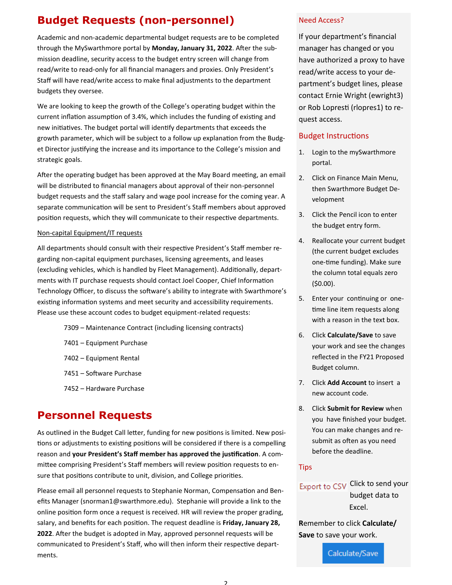# **Budget Requests (non-personnel)**

Academic and non-academic departmental budget requests are to be completed through the MySwarthmore portal by **Monday, January 31, 2022**. After the submission deadline, security access to the budget entry screen will change from read/write to read-only for all financial managers and proxies. Only President's Staff will have read/write access to make final adjustments to the department budgets they oversee.

We are looking to keep the growth of the College's operating budget within the current inflation assumption of 3.4%, which includes the funding of existing and new initiatives. The budget portal will identify departments that exceeds the growth parameter, which will be subject to a follow up explanation from the Budget Director justifying the increase and its importance to the College's mission and strategic goals.

After the operating budget has been approved at the May Board meeting, an email will be distributed to financial managers about approval of their non-personnel budget requests and the staff salary and wage pool increase for the coming year. A separate communication will be sent to President's Staff members about approved position requests, which they will communicate to their respective departments.

#### Non-capital Equipment/IT requests

All departments should consult with their respective President's Staff member regarding non-capital equipment purchases, licensing agreements, and leases (excluding vehicles, which is handled by Fleet Management). Additionally, departments with IT purchase requests should contact Joel Cooper, Chief Information Technology Officer, to discuss the software's ability to integrate with Swarthmore's existing information systems and meet security and accessibility requirements. Please use these account codes to budget equipment-related requests:

- 7309 Maintenance Contract (including licensing contracts)
- 7401 Equipment Purchase
- 7402 Equipment Rental
- 7451 Software Purchase
- 7452 Hardware Purchase

## **Personnel Requests**

As outlined in the Budget Call letter, funding for new positions is limited. New positions or adjustments to existing positions will be considered if there is a compelling reason and **your President's Staff member has approved the justification**. A committee comprising President's Staff members will review position requests to ensure that positions contribute to unit, division, and College priorities.

Please email all personnel requests to Stephanie Norman, Compensation and Benefits Manager (snorman1@swarthmore.edu). Stephanie will provide a link to the online position form once a request is received. HR will review the proper grading, salary, and benefits for each position. The request deadline is **Friday, January 28, 2022**. After the budget is adopted in May, approved personnel requests will be communicated to President's Staff, who will then inform their respective departments.

#### Need Access?

If your department's financial manager has changed or you have authorized a proxy to have read/write access to your department's budget lines, please contact Ernie Wright (ewright3) or Rob Lopresti (rlopres1) to request access.

#### Budget Instructions

- 1. Login to the mySwarthmore portal.
- 2. Click on Finance Main Menu, then Swarthmore Budget Development
- 3. Click the Pencil icon to enter the budget entry form.
- 4. Reallocate your current budget (the current budget excludes one-time funding). Make sure the column total equals zero (\$0.00).
- 5. Enter your continuing or onetime line item requests along with a reason in the text box.
- 6. Click **Calculate/Save** to save your work and see the changes reflected in the FY21 Proposed Budget column.
- 7. Click **Add Account** to insert a new account code.
- 8. Click **Submit for Review** when you have finished your budget. You can make changes and resubmit as often as you need before the deadline.

#### **Tips**

### Export to CSV Click to send your budget data to Excel.

**R**emember to click **Calculate/ Save** to save your work.

Calculate/Save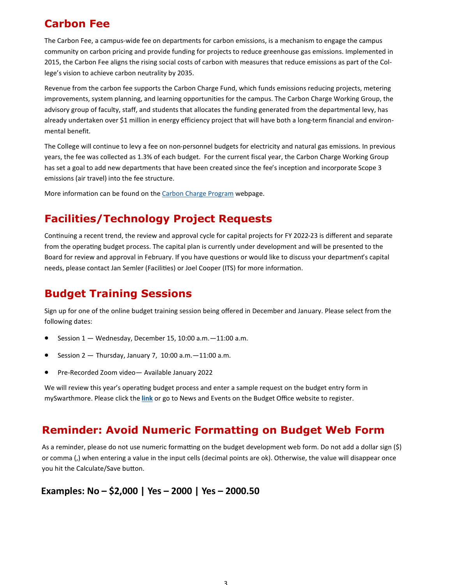# **Carbon Fee**

The Carbon Fee, a campus-wide fee on departments for carbon emissions, is a mechanism to engage the campus community on carbon pricing and provide funding for projects to reduce greenhouse gas emissions. Implemented in 2015, the Carbon Fee aligns the rising social costs of carbon with measures that reduce emissions as part of the College's vision to achieve carbon neutrality by 2035.

Revenue from the carbon fee supports the Carbon Charge Fund, which funds emissions reducing projects, metering improvements, system planning, and learning opportunities for the campus. The Carbon Charge Working Group, the advisory group of faculty, staff, and students that allocates the funding generated from the departmental levy, has already undertaken over \$1 million in energy efficiency project that will have both a long-term financial and environmental benefit.

The College will continue to levy a fee on non-personnel budgets for electricity and natural gas emissions. In previous years, the fee was collected as 1.3% of each budget. For the current fiscal year, the Carbon Charge Working Group has set a goal to add new departments that have been created since the fee's inception and incorporate Scope 3 emissions (air travel) into the fee structure.

More information can be found on the [Carbon Charge Program](https://www.swarthmore.edu/sustainability/swarthmores-carbon-charge-program) webpage.

# **Facilities/Technology Project Requests**

Continuing a recent trend, the review and approval cycle for capital projects for FY 2022-23 is different and separate from the operating budget process. The capital plan is currently under development and will be presented to the Board for review and approval in February. If you have questions or would like to discuss your department's capital needs, please contact Jan Semler (Facilities) or Joel Cooper (ITS) for more information.

# **Budget Training Sessions**

Sign up for one of the online budget training session being offered in December and January. Please select from the following dates:

- Session  $1 -$  Wednesday, December 15, 10:00 a.m. $-11:00$  a.m.
- Session  $2 -$  Thursday, January 7, 10:00 a.m.  $-11:00$  a.m.
- Pre-Recorded Zoom video— Available January 2022

We will review this year's operating budget process and enter a sample request on the budget entry form in mySwarthmore. Please click the **[link](https://forms.gle/pcKmpVc1qAfqcxZM9)** or go to News and Events on the Budget Office website to register.

# **Reminder: Avoid Numeric Formatting on Budget Web Form**

As a reminder, please do not use numeric formatting on the budget development web form. Do not add a dollar sign (\$) or comma (,) when entering a value in the input cells (decimal points are ok). Otherwise, the value will disappear once you hit the Calculate/Save button.

### **Examples: No – \$2,000 | Yes – 2000 | Yes – 2000.50**